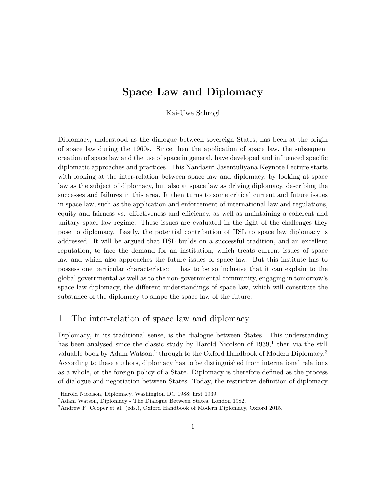# Space Law and Diplomacy

Kai-Uwe Schrogl

Diplomacy, understood as the dialogue between sovereign States, has been at the origin of space law during the 1960s. Since then the application of space law, the subsequent creation of space law and the use of space in general, have developed and influenced specific diplomatic approaches and practices. This Nandasiri Jasentuliyana Keynote Lecture starts with looking at the inter-relation between space law and diplomacy, by looking at space law as the subject of diplomacy, but also at space law as driving diplomacy, describing the successes and failures in this area. It then turns to some critical current and future issues in space law, such as the application and enforcement of international law and regulations, equity and fairness vs. effectiveness and efficiency, as well as maintaining a coherent and unitary space law regime. These issues are evaluated in the light of the challenges they pose to diplomacy. Lastly, the potential contribution of IISL to space law diplomacy is addressed. It will be argued that IISL builds on a successful tradition, and an excellent reputation, to face the demand for an institution, which treats current issues of space law and which also approaches the future issues of space law. But this institute has to possess one particular characteristic: it has to be so inclusive that it can explain to the global governmental as well as to the non-governmental community, engaging in tomorrow's space law diplomacy, the different understandings of space law, which will constitute the substance of the diplomacy to shape the space law of the future.

# 1 The inter-relation of space law and diplomacy

Diplomacy, in its traditional sense, is the dialogue between States. This understanding has been analysed since the classic study by Harold Nicolson of  $1939<sup>1</sup>$ , then via the still valuable book by Adam Watson,<sup>2</sup> through to the Oxford Handbook of Modern Diplomacy.<sup>3</sup> According to these authors, diplomacy has to be distinguished from international relations as a whole, or the foreign policy of a State. Diplomacy is therefore defined as the process of dialogue and negotiation between States. Today, the restrictive definition of diplomacy

<sup>&</sup>lt;sup>1</sup>Harold Nicolson, Diplomacy, Washington DC 1988; first 1939.

<sup>2</sup>Adam Watson, Diplomacy - The Dialogue Between States, London 1982.

<sup>3</sup>Andrew F. Cooper et al. (eds.), Oxford Handbook of Modern Diplomacy, Oxford 2015.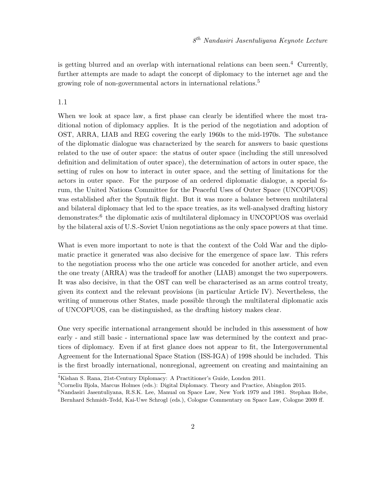is getting blurred and an overlap with international relations can been seen.<sup>4</sup> Currently, further attempts are made to adapt the concept of diplomacy to the internet age and the growing role of non-governmental actors in international relations.<sup>5</sup>

## 1.1

When we look at space law, a first phase can clearly be identified where the most traditional notion of diplomacy applies. It is the period of the negotiation and adoption of OST, ARRA, LIAB and REG covering the early 1960s to the mid-1970s. The substance of the diplomatic dialogue was characterized by the search for answers to basic questions related to the use of outer space: the status of outer space (including the still unresolved definition and delimitation of outer space), the determination of actors in outer space, the setting of rules on how to interact in outer space, and the setting of limitations for the actors in outer space. For the purpose of an ordered diplomatic dialogue, a special forum, the United Nations Committee for the Peaceful Uses of Outer Space (UNCOPUOS) was established after the Sputnik flight. But it was more a balance between multilateral and bilateral diplomacy that led to the space treaties, as its well-analysed drafting history demonstrates:<sup>6</sup> the diplomatic axis of multilateral diplomacy in UNCOPUOS was overlaid by the bilateral axis of U.S.-Soviet Union negotiations as the only space powers at that time.

What is even more important to note is that the context of the Cold War and the diplomatic practice it generated was also decisive for the emergence of space law. This refers to the negotiation process who the one article was conceded for another article, and even the one treaty (ARRA) was the tradeoff for another (LIAB) amongst the two superpowers. It was also decisive, in that the OST can well be characterised as an arms control treaty, given its context and the relevant provisions (in particular Article IV). Nevertheless, the writing of numerous other States, made possible through the multilateral diplomatic axis of UNCOPUOS, can be distinguished, as the drafting history makes clear.

One very specific international arrangement should be included in this assessment of how early - and still basic - international space law was determined by the context and practices of diplomacy. Even if at first glance does not appear to fit, the Intergovernmental Agreement for the International Space Station (ISS-IGA) of 1998 should be included. This is the first broadly international, nonregional, agreement on creating and maintaining an

<sup>4</sup>Kishan S. Rana, 21st-Century Diplomacy: A Practitioner's Guide, London 2011.

<sup>5</sup>Corneliu Bjola, Marcus Holmes (eds.): Digital Diplomacy. Theory and Practice, Abingdon 2015.

<sup>&</sup>lt;sup>6</sup>Nandasiri Jasentuliyana, R.S.K. Lee, Manual on Space Law, New York 1979 and 1981. Stephan Hobe, Bernhard Schmidt-Tedd, Kai-Uwe Schrogl (eds.), Cologne Commentary on Space Law, Cologne 2009 ff.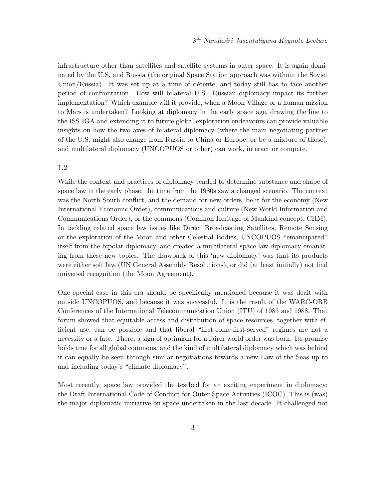infrastructure other than satellites and satellite systems in outer space. It is again dominated by the U.S. and Russia (the original Space Station approach was without the Soviet Union/Russia). It was set up at a time of détente, and today still has to face another period of confrontation. How will bilateral U.S.- Russian diplomacy impact its further implementation? Which example will it provide, when a Moon Village or a human mission to Mars is undertaken? Looking at diplomacy in the early space age, drawing the line to the ISS-IGA and extending it to future global exploration endeavours can provide valuable insights on how the two axes of bilateral diplomacy (where the main negotiating partner of the U.S. might also change from Russia to China or Europe, or be a mixture of those), and multilateral diplomacy (UNCOPUOS or other) can work, interact or compete.

## 1.2

While the context and practices of diplomacy tended to determine substance and shape of space law in the early phase, the time from the 1980s saw a changed scenario. The context was the North-South conflict, and the demand for new orders, be it for the economy (New International Economic Order), communications and culture (New World Information and Communications Order), or the commons (Common Heritage of Mankind concept, CHM). In tackling related space law issues like Direct Broadcasting Satellites, Remote Sensing or the exploration of the Moon and other Celestial Bodies, UNCOPUOS "emancipated" itself from the bipolar diplomacy, and created a multilateral space law diplomacy emanating from these new topics. The drawback of this 'new diplomacy' was that its products were either soft law (UN General Assembly Resolutions), or did (at least initially) not find universal recognition (the Moon Agreement).

One special case in this era should be specifically mentioned because it was dealt with outside UNCOPUOS, and because it was successful. It is the result of the WARC-ORB Conferences of the International Telecommunication Union (ITU) of 1985 and 1988. That forum showed that equitable access and distribution of space resources, together with efficient use, can be possible and that liberal "first-come-first-served" regimes are not a necessity or a fate. There, a sign of optimism for a fairer world order was born. Its promise holds true for all global commons, and the kind of multilateral diplomacy which was behind it can equally be seen through similar negotiations towards a new Law of the Seas up to and including today's "climate diplomacy".

Most recently, space law provided the testbed for an exciting experiment in diplomacy: the Draft International Code of Conduct for Outer Space Activities (ICOC). This is (was) the major diplomatic initiative on space undertaken in the last decade. It challenged not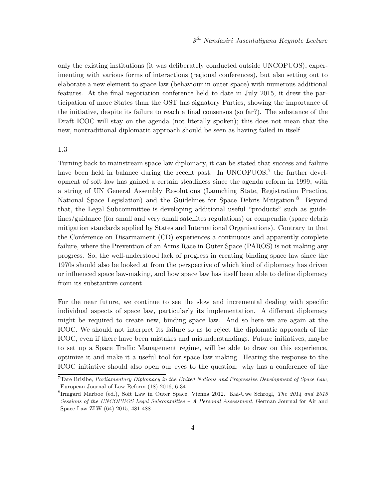only the existing institutions (it was deliberately conducted outside UNCOPUOS), experimenting with various forms of interactions (regional conferences), but also setting out to elaborate a new element to space law (behaviour in outer space) with numerous additional features. At the final negotiation conference held to date in July 2015, it drew the participation of more States than the OST has signatory Parties, showing the importance of the initiative, despite its failure to reach a final consensus (so far?). The substance of the Draft ICOC will stay on the agenda (not literally spoken); this does not mean that the new, nontraditional diplomatic approach should be seen as having failed in itself.

#### 1.3

Turning back to mainstream space law diplomacy, it can be stated that success and failure have been held in balance during the recent past. In UNCOPUOS,<sup>7</sup> the further development of soft law has gained a certain steadiness since the agenda reform in 1999, with a string of UN General Assembly Resolutions (Launching State, Registration Practice, National Space Legislation) and the Guidelines for Space Debris Mitigation.<sup>8</sup> Beyond that, the Legal Subcommittee is developing additional useful "products" such as guidelines/guidance (for small and very small satellites regulations) or compendia (space debris mitigation standards applied by States and International Organisations). Contrary to that the Conference on Disarmament (CD) experiences a continuous and apparently complete failure, where the Prevention of an Arms Race in Outer Space (PAROS) is not making any progress. So, the well-understood lack of progress in creating binding space law since the 1970s should also be looked at from the perspective of which kind of diplomacy has driven or influenced space law-making, and how space law has itself been able to define diplomacy from its substantive content.

For the near future, we continue to see the slow and incremental dealing with specific individual aspects of space law, particularly its implementation. A different diplomacy might be required to create new, binding space law. And so here we are again at the ICOC. We should not interpret its failure so as to reject the diplomatic approach of the ICOC, even if there have been mistakes and misunderstandings. Future initiatives, maybe to set up a Space Traffic Management regime, will be able to draw on this experience, optimize it and make it a useful tool for space law making. Hearing the response to the ICOC initiative should also open our eyes to the question: why has a conference of the

 $7$ Tare Brisibe, Parliamentary Diplomacy in the United Nations and Progressive Development of Space Law, European Journal of Law Reform (18) 2016, 6-34.

<sup>&</sup>lt;sup>8</sup>Irmgard Marboe (ed.), Soft Law in Outer Space, Vienna 2012. Kai-Uwe Schrogl, The 2014 and 2015 Sessions of the UNCOPUOS Legal Subcommittee  $-A$  Personal Assessment, German Journal for Air and Space Law ZLW (64) 2015, 481-488.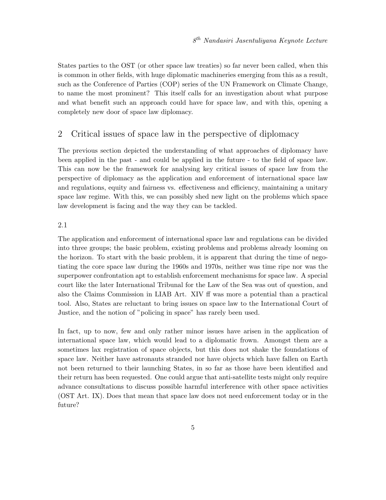States parties to the OST (or other space law treaties) so far never been called, when this is common in other fields, with huge diplomatic machineries emerging from this as a result, such as the Conference of Parties (COP) series of the UN Framework on Climate Change, to name the most prominent? This itself calls for an investigation about what purpose and what benefit such an approach could have for space law, and with this, opening a completely new door of space law diplomacy.

# 2 Critical issues of space law in the perspective of diplomacy

The previous section depicted the understanding of what approaches of diplomacy have been applied in the past - and could be applied in the future - to the field of space law. This can now be the framework for analysing key critical issues of space law from the perspective of diplomacy as the application and enforcement of international space law and regulations, equity and fairness vs. effectiveness and efficiency, maintaining a unitary space law regime. With this, we can possibly shed new light on the problems which space law development is facing and the way they can be tackled.

#### 2.1

The application and enforcement of international space law and regulations can be divided into three groups; the basic problem, existing problems and problems already looming on the horizon. To start with the basic problem, it is apparent that during the time of negotiating the core space law during the 1960s and 1970s, neither was time ripe nor was the superpower confrontation apt to establish enforcement mechanisms for space law. A special court like the later International Tribunal for the Law of the Sea was out of question, and also the Claims Commission in LIAB Art. XIV ff was more a potential than a practical tool. Also, States are reluctant to bring issues on space law to the International Court of Justice, and the notion of "policing in space" has rarely been used.

In fact, up to now, few and only rather minor issues have arisen in the application of international space law, which would lead to a diplomatic frown. Amongst them are a sometimes lax registration of space objects, but this does not shake the foundations of space law. Neither have astronauts stranded nor have objects which have fallen on Earth not been returned to their launching States, in so far as those have been identified and their return has been requested. One could argue that anti-satellite tests might only require advance consultations to discuss possible harmful interference with other space activities (OST Art. IX). Does that mean that space law does not need enforcement today or in the future?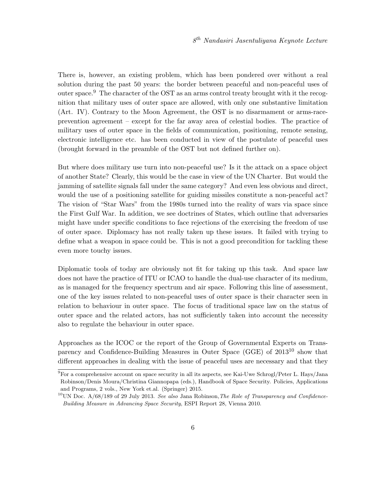There is, however, an existing problem, which has been pondered over without a real solution during the past 50 years: the border between peaceful and non-peaceful uses of outer space.<sup>9</sup> The character of the OST as an arms control treaty brought with it the recognition that military uses of outer space are allowed, with only one substantive limitation (Art. IV). Contrary to the Moon Agreement, the OST is no disarmament or arms-raceprevention agreement – except for the far away area of celestial bodies. The practice of military uses of outer space in the fields of communication, positioning, remote sensing, electronic intelligence etc. has been conducted in view of the postulate of peaceful uses (brought forward in the preamble of the OST but not defined further on).

But where does military use turn into non-peaceful use? Is it the attack on a space object of another State? Clearly, this would be the case in view of the UN Charter. But would the jamming of satellite signals fall under the same category? And even less obvious and direct, would the use of a positioning satellite for guiding missiles constitute a non-peaceful act? The vision of "Star Wars" from the 1980s turned into the reality of wars via space since the First Gulf War. In addition, we see doctrines of States, which outline that adversaries might have under specific conditions to face rejections of the exercising the freedom of use of outer space. Diplomacy has not really taken up these issues. It failed with trying to define what a weapon in space could be. This is not a good precondition for tackling these even more touchy issues.

Diplomatic tools of today are obviously not fit for taking up this task. And space law does not have the practice of ITU or ICAO to handle the dual-use character of its medium, as is managed for the frequency spectrum and air space. Following this line of assessment, one of the key issues related to non-peaceful uses of outer space is their character seen in relation to behaviour in outer space. The focus of traditional space law on the status of outer space and the related actors, has not sufficiently taken into account the necessity also to regulate the behaviour in outer space.

Approaches as the ICOC or the report of the Group of Governmental Experts on Transparency and Confidence-Building Measures in Outer Space (GGE) of 2013<sup>10</sup> show that different approaches in dealing with the issue of peaceful uses are necessary and that they

<sup>&</sup>lt;sup>9</sup>For a comprehensive account on space security in all its aspects, see Kai-Uwe Schrogl/Peter L. Hays/Jana Robinson/Denis Moura/Christina Giannopapa (eds.), Handbook of Space Security. Policies, Applications and Programs, 2 vols., New York et.al. (Springer) 2015.

 $10$ UN Doc. A/68/189 of 29 July 2013. See also Jana Robinson, The Role of Transparency and Confidence-Building Measure in Advancing Space Security, ESPI Report 28, Vienna 2010.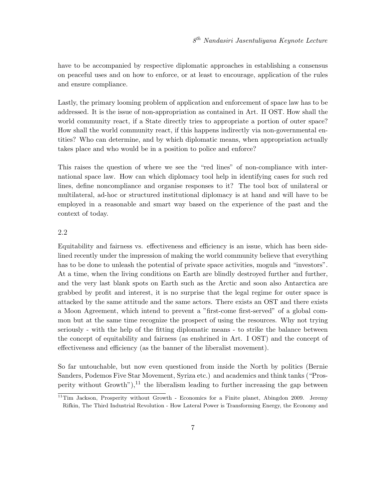have to be accompanied by respective diplomatic approaches in establishing a consensus on peaceful uses and on how to enforce, or at least to encourage, application of the rules and ensure compliance.

Lastly, the primary looming problem of application and enforcement of space law has to be addressed. It is the issue of non-appropriation as contained in Art. II OST. How shall the world community react, if a State directly tries to appropriate a portion of outer space? How shall the world community react, if this happens indirectly via non-governmental entities? Who can determine, and by which diplomatic means, when appropriation actually takes place and who would be in a position to police and enforce?

This raises the question of where we see the "red lines" of non-compliance with international space law. How can which diplomacy tool help in identifying cases for such red lines, define noncompliance and organise responses to it? The tool box of unilateral or multilateral, ad-hoc or structured institutional diplomacy is at hand and will have to be employed in a reasonable and smart way based on the experience of the past and the context of today.

## 2.2

Equitability and fairness vs. effectiveness and efficiency is an issue, which has been sidelined recently under the impression of making the world community believe that everything has to be done to unleash the potential of private space activities, moguls and "investors". At a time, when the living conditions on Earth are blindly destroyed further and further, and the very last blank spots on Earth such as the Arctic and soon also Antarctica are grabbed by profit and interest, it is no surprise that the legal regime for outer space is attacked by the same attitude and the same actors. There exists an OST and there exists a Moon Agreement, which intend to prevent a "first-come first-served" of a global common but at the same time recognize the prospect of using the resources. Why not trying seriously - with the help of the fitting diplomatic means - to strike the balance between the concept of equitability and fairness (as enshrined in Art. I OST) and the concept of effectiveness and efficiency (as the banner of the liberalist movement).

So far untouchable, but now even questioned from inside the North by politics (Bernie Sanders, Podemos Five Star Movement, Syriza etc.) and academics and think tanks ("Prosperity without Growth"), $^{11}$  the liberalism leading to further increasing the gap between

 $11$ Tim Jackson, Prosperity without Growth - Economics for a Finite planet, Abingdon 2009. Jeremy Rifkin, The Third Industrial Revolution - How Lateral Power is Transforming Energy, the Economy and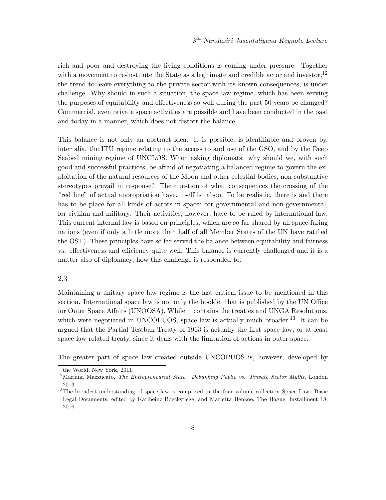rich and poor and destroying the living conditions is coming under pressure. Together with a movement to re-institute the State as a legitimate and credible actor and investor,  $12$ the trend to leave everything to the private sector with its known consequences, is under challenge. Why should in such a situation, the space law regime, which has been serving the purposes of equitability and effectiveness so well during the past 50 years be changed? Commercial, even private space activities are possible and have been conducted in the past and today in a manner, which does not distort the balance.

This balance is not only an abstract idea. It is possible, is identifiable and proven by, inter alia, the ITU regime relating to the access to and use of the GSO, and by the Deep Seabed mining regime of UNCLOS. When asking diplomats: why should we, with such good and successful practices, be afraid of negotiating a balanced regime to govern the exploitation of the natural resources of the Moon and other celestial bodies, non-substantive stereotypes prevail in response? The question of what consequences the crossing of the "red line" of actual appropriation have, itself is taboo. To be realistic, there is and there has to be place for all kinds of actors in space: for governmental and non-governmental, for civilian and military. Their activities, however, have to be ruled by international law. This current internal law is based on principles, which are so far shared by all space-faring nations (even if only a little more than half of all Member States of the UN have ratified the OST). These principles have so far served the balance between equitability and fairness vs. effectiveness and efficiency quite well. This balance is currently challenged and it is a matter also of diplomacy, how this challenge is responded to.

#### 2.3

Maintaining a unitary space law regime is the last critical issue to be mentioned in this section. International space law is not only the booklet that is published by the UN Office for Outer Space Affairs (UNOOSA). While it contains the treaties and UNGA Resolutions, which were negotiated in UNCOPUOS, space law is actually much broader.<sup>13</sup> It can be argued that the Partial Testban Treaty of 1963 is actually the first space law, or at least space law related treaty, since it deals with the limitation of actions in outer space.

The greater part of space law created outside UNCOPUOS is, however, developed by

the World, New York, 2011.

 $12$ Mariana Mazzucato, The Entrepreneurial State. Debunking Public vs. Private Sector Myths, London 2013.

<sup>&</sup>lt;sup>13</sup>The broadest understanding of space law is comprised in the four volume collection Space Law: Basic Legal Documents; edited by Karlheinz Boeckstiegel and Marietta Benkoe, The Hague, Installment 18, 2016.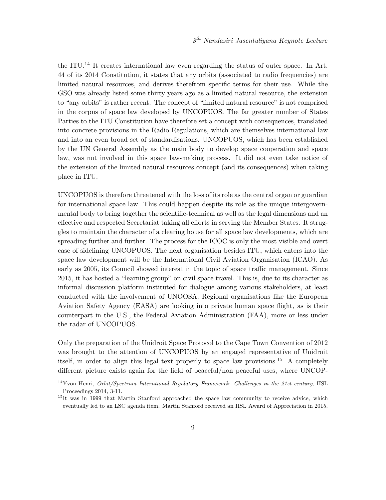the ITU.<sup>14</sup> It creates international law even regarding the status of outer space. In Art. 44 of its 2014 Constitution, it states that any orbits (associated to radio frequencies) are limited natural resources, and derives therefrom specific terms for their use. While the GSO was already listed some thirty years ago as a limited natural resource, the extension to "any orbits" is rather recent. The concept of "limited natural resource" is not comprised in the corpus of space law developed by UNCOPUOS. The far greater number of States Parties to the ITU Constitution have therefore set a concept with consequences, translated into concrete provisions in the Radio Regulations, which are themselves international law and into an even broad set of standardisations. UNCOPUOS, which has been established by the UN General Assembly as the main body to develop space cooperation and space law, was not involved in this space law-making process. It did not even take notice of the extension of the limited natural resources concept (and its consequences) when taking place in ITU.

UNCOPUOS is therefore threatened with the loss of its role as the central organ or guardian for international space law. This could happen despite its role as the unique intergovernmental body to bring together the scientific-technical as well as the legal dimensions and an effective and respected Secretariat taking all efforts in serving the Member States. It struggles to maintain the character of a clearing house for all space law developments, which are spreading further and further. The process for the ICOC is only the most visible and overt case of sidelining UNCOPUOS. The next organisation besides ITU, which enters into the space law development will be the International Civil Aviation Organisation (ICAO). As early as 2005, its Council showed interest in the topic of space traffic management. Since 2015, it has hosted a "learning group" on civil space travel. This is, due to its character as informal discussion platform instituted for dialogue among various stakeholders, at least conducted with the involvement of UNOOSA. Regional organisations like the European Aviation Safety Agency (EASA) are looking into private human space flight, as is their counterpart in the U.S., the Federal Aviation Administration (FAA), more or less under the radar of UNCOPUOS.

Only the preparation of the Unidroit Space Protocol to the Cape Town Convention of 2012 was brought to the attention of UNCOPUOS by an engaged representative of Unidroit itself, in order to align this legal text properly to space law provisions.<sup>15</sup> A completely different picture exists again for the field of peaceful/non peaceful uses, where UNCOP-

 $\overline{14}Y$ von Henri, *Orbit/Spectrum Interntional Regulatory Framework: Challenges in the 21st century*, IISL Proceedings 2014, 3-11.

<sup>&</sup>lt;sup>15</sup>It was in 1999 that Martin Stanford approached the space law community to receive advice, which eventually led to an LSC agenda item. Martin Stanford received an IISL Award of Appreciation in 2015.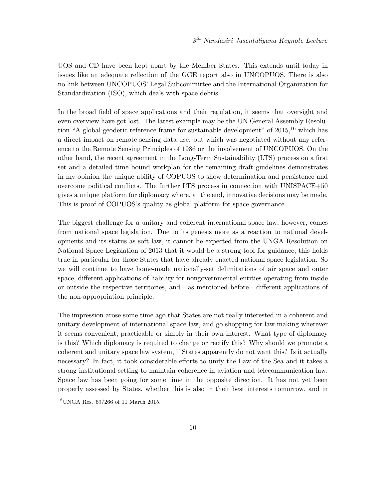UOS and CD have been kept apart by the Member States. This extends until today in issues like an adequate reflection of the GGE report also in UNCOPUOS. There is also no link between UNCOPUOS' Legal Subcommittee and the International Organization for Standardization (ISO), which deals with space debris.

In the broad field of space applications and their regulation, it seems that oversight and even overview have got lost. The latest example may be the UN General Assembly Resolution "A global geodetic reference frame for sustainable development" of  $2015$ ,<sup>16</sup> which has a direct impact on remote sensing data use, but which was negotiated without any reference to the Remote Sensing Principles of 1986 or the involvement of UNCOPUOS. On the other hand, the recent agreement in the Long-Term Sustainability (LTS) process on a first set and a detailed time bound workplan for the remaining draft guidelines demonstrates in my opinion the unique ability of COPUOS to show determination and persistence and overcome political conflicts. The further LTS process in connection with UNISPACE+50 gives a unique platform for diplomacy where, at the end, innovative decisions may be made. This is proof of COPUOS's quality as global platform for space governance.

The biggest challenge for a unitary and coherent international space law, however, comes from national space legislation. Due to its genesis more as a reaction to national developments and its status as soft law, it cannot be expected from the UNGA Resolution on National Space Legislation of 2013 that it would be a strong tool for guidance; this holds true in particular for those States that have already enacted national space legislation. So we will continue to have home-made nationally-set delimitations of air space and outer space, different applications of liability for nongovernmental entities operating from inside or outside the respective territories, and - as mentioned before - different applications of the non-appropriation principle.

The impression arose some time ago that States are not really interested in a coherent and unitary development of international space law, and go shopping for law-making wherever it seems convenient, practicable or simply in their own interest. What type of diplomacy is this? Which diplomacy is required to change or rectify this? Why should we promote a coherent and unitary space law system, if States apparently do not want this? Is it actually necessary? In fact, it took considerable efforts to unify the Law of the Sea and it takes a strong institutional setting to maintain coherence in aviation and telecommunication law. Space law has been going for some time in the opposite direction. It has not yet been properly assessed by States, whether this is also in their best interests tomorrow, and in

 $16$ UNGA Res. 69/266 of 11 March 2015.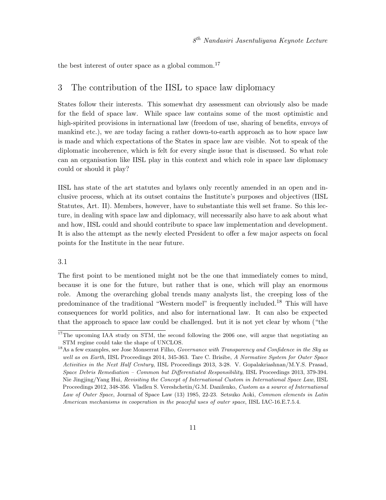the best interest of outer space as a global common.<sup>17</sup>

# 3 The contribution of the IISL to space law diplomacy

States follow their interests. This somewhat dry assessment can obviously also be made for the field of space law. While space law contains some of the most optimistic and high-spirited provisions in international law (freedom of use, sharing of benefits, envoys of mankind etc.), we are today facing a rather down-to-earth approach as to how space law is made and which expectations of the States in space law are visible. Not to speak of the diplomatic incoherence, which is felt for every single issue that is discussed. So what role can an organisation like IISL play in this context and which role in space law diplomacy could or should it play?

IISL has state of the art statutes and bylaws only recently amended in an open and inclusive process, which at its outset contains the Institute's purposes and objectives (IISL Statutes, Art. II). Members, however, have to substantiate this well set frame. So this lecture, in dealing with space law and diplomacy, will necessarily also have to ask about what and how, IISL could and should contribute to space law implementation and development. It is also the attempt as the newly elected President to offer a few major aspects on focal points for the Institute in the near future.

#### 3.1

The first point to be mentioned might not be the one that immediately comes to mind, because it is one for the future, but rather that is one, which will play an enormous role. Among the overarching global trends many analysts list, the creeping loss of the predominance of the traditional "Western model" is frequently included.<sup>18</sup> This will have consequences for world politics, and also for international law. It can also be expected that the approach to space law could be challenged. but it is not yet clear by whom ("the

<sup>&</sup>lt;sup>17</sup>The upcoming IAA study on STM, the second following the 2006 one, will argue that negotiating an STM regime could take the shape of UNCLOS.

 $18$ As a few examples, see Jose Monserrat Filho, *Governance with Transparency and Confidence in the Sky as* well as on Earth, IISL Proceedings 2014, 345-363. Tare C. Brisibe, A Normative System for Outer Space Activities in the Next Half Century, IISL Proceedings 2013, 3-28. V. Gopalakriashnan/M.Y.S. Prasad, Space Debris Remediation – Common but Differentiated Responsibility, IISL Proceedings 2013, 379-394. Nie Jingjing/Yang Hui, Revisiting the Concept of International Custom in International Space Law, IISL Proceedings 2012, 348-356. Vladlen S. Vereshchetin/G.M. Danilenko, Custom as a source of International Law of Outer Space, Journal of Space Law (13) 1985, 22-23. Setsuko Aoki, Common elements in Latin American mechanisms in cooperation in the peaceful uses of outer space, IISL IAC-16.E.7.5.4.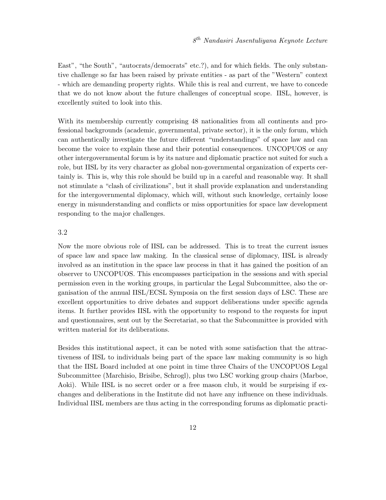East", "the South", "autocrats/democrats" etc.?), and for which fields. The only substantive challenge so far has been raised by private entities - as part of the "Western" context - which are demanding property rights. While this is real and current, we have to concede that we do not know about the future challenges of conceptual scope. IISL, however, is excellently suited to look into this.

With its membership currently comprising 48 nationalities from all continents and professional backgrounds (academic, governmental, private sector), it is the only forum, which can authentically investigate the future different "understandings" of space law and can become the voice to explain these and their potential consequences. UNCOPUOS or any other intergovernmental forum is by its nature and diplomatic practice not suited for such a role, but IISL by its very character as global non-governmental organization of experts certainly is. This is, why this role should be build up in a careful and reasonable way. It shall not stimulate a "clash of civilizations", but it shall provide explanation and understanding for the intergovernmental diplomacy, which will, without such knowledge, certainly loose energy in misunderstanding and conflicts or miss opportunities for space law development responding to the major challenges.

## 3.2

Now the more obvious role of IISL can be addressed. This is to treat the current issues of space law and space law making. In the classical sense of diplomacy, IISL is already involved as an institution in the space law process in that it has gained the position of an observer to UNCOPUOS. This encompasses participation in the sessions and with special permission even in the working groups, in particular the Legal Subcommittee, also the organisation of the annual IISL/ECSL Symposia on the first session days of LSC. These are excellent opportunities to drive debates and support deliberations under specific agenda items. It further provides IISL with the opportunity to respond to the requests for input and questionnaires, sent out by the Secretariat, so that the Subcommittee is provided with written material for its deliberations.

Besides this institutional aspect, it can be noted with some satisfaction that the attractiveness of IISL to individuals being part of the space law making community is so high that the IISL Board included at one point in time three Chairs of the UNCOPUOS Legal Subcommittee (Marchisio, Brisibe, Schrogl), plus two LSC working group chairs (Marboe, Aoki). While IISL is no secret order or a free mason club, it would be surprising if exchanges and deliberations in the Institute did not have any influence on these individuals. Individual IISL members are thus acting in the corresponding forums as diplomatic practi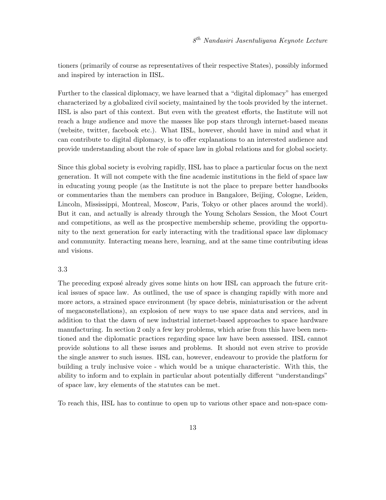tioners (primarily of course as representatives of their respective States), possibly informed and inspired by interaction in IISL.

Further to the classical diplomacy, we have learned that a "digital diplomacy" has emerged characterized by a globalized civil society, maintained by the tools provided by the internet. IISL is also part of this context. But even with the greatest efforts, the Institute will not reach a huge audience and move the masses like pop stars through internet-based means (website, twitter, facebook etc.). What IISL, however, should have in mind and what it can contribute to digital diplomacy, is to offer explanations to an interested audience and provide understanding about the role of space law in global relations and for global society.

Since this global society is evolving rapidly, IISL has to place a particular focus on the next generation. It will not compete with the fine academic institutions in the field of space law in educating young people (as the Institute is not the place to prepare better handbooks or commentaries than the members can produce in Bangalore, Beijing, Cologne, Leiden, Lincoln, Mississippi, Montreal, Moscow, Paris, Tokyo or other places around the world). But it can, and actually is already through the Young Scholars Session, the Moot Court and competitions, as well as the prospective membership scheme, providing the opportunity to the next generation for early interacting with the traditional space law diplomacy and community. Interacting means here, learning, and at the same time contributing ideas and visions.

#### 3.3

The preceding exposé already gives some hints on how IISL can approach the future critical issues of space law. As outlined, the use of space is changing rapidly with more and more actors, a strained space environment (by space debris, miniaturisation or the advent of megaconstellations), an explosion of new ways to use space data and services, and in addition to that the dawn of new industrial internet-based approaches to space hardware manufacturing. In section 2 only a few key problems, which arise from this have been mentioned and the diplomatic practices regarding space law have been assessed. IISL cannot provide solutions to all these issues and problems. It should not even strive to provide the single answer to such issues. IISL can, however, endeavour to provide the platform for building a truly inclusive voice - which would be a unique characteristic. With this, the ability to inform and to explain in particular about potentially different "understandings" of space law, key elements of the statutes can be met.

To reach this, IISL has to continue to open up to various other space and non-space com-